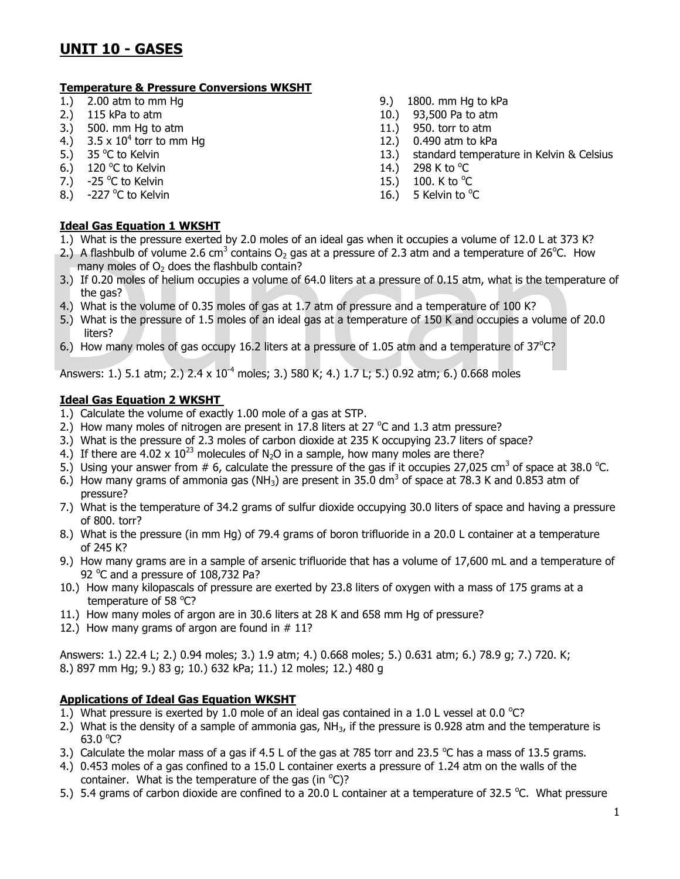#### **Temperature & Pressure Conversions WKSHT**

- 
- 
- 3.) 500. mm Hg to atm 11.) 950. torr to atm
- 4.)  $3.5 \times 10^4$  torr to mm Hg
- 5.)  $35^{\circ}$ C to Kelvin
- 6.) 120 °C to Kelvin  $14.$ ) 298 K to  $^{\circ}$
- 7.)  $-25\degree$ C to Kelvin  $15.$ )  $100.$  K to  $\degree$
- 8.)  $-227 \text{ °C}$  to Kelvin  $\blacksquare$

## **Ideal Gas Equation 1 WKSHT**

- 1.) 2.00 atm to mm Hg 9. atm to mm Hg 5.00 atm to kPa
- 2.) 115 kPa to atm 10.) 93,500 Pa to atm
	-
	- 12.) 0.490 atm to kPa
	- 13.) standard temperature in Kelvin & Celsius
	- 298 K to  $\mathrm{^{\circ}C}$
	- 100. K to  $\mathrm{C}$
	- 5 Kelvin to °C
- 1.) What is the pressure exerted by 2.0 moles of an ideal gas when it occupies a volume of 12.0 L at 373 K?
- 1.) What is the pressure exerted by 2.0 moles or an ideal gas when it occupies a volume or 12.0 L at 373<br>
2.) A flashbulb of volume 2.6 cm<sup>3</sup> contains 0<sub>2</sub> gas at a pressure of 2.3 atm and a temperature of 26°C. H<br>
3.) If 2.) A flashbulb of volume 2.6 cm<sup>3</sup> contains O<sub>2</sub> gas at a pressure of 2.3 atm and a temperature of 26<sup>o</sup>C. How many moles of  $O<sub>2</sub>$  does the flashbulb contain?
	- 3.) If 0.20 moles of helium occupies a volume of 64.0 liters at a pressure of 0.15 atm, what is the temperature of the gas?
	- 4.) What is the volume of 0.35 moles of gas at 1.7 atm of pressure and a temperature of 100 K?
	- 5.) What is the pressure of 1.5 moles of an ideal gas at a temperature of 150 K and occupies a volume of 20.0 liters?
	- 6.) How many moles of gas occupy 16.2 liters at a pressure of 1.05 atm and a temperature of  $37^{\circ}$ C?

Answers: 1.) 5.1 atm; 2.) 2.4 x  $10^{-4}$  moles; 3.) 580 K; 4.) 1.7 L; 5.) 0.92 atm; 6.) 0.668 moles

#### **Ideal Gas Equation 2 WKSHT**

- 1.) Calculate the volume of exactly 1.00 mole of a gas at STP.
- 2.) How many moles of nitrogen are present in 17.8 liters at 27  $^{\circ}$ C and 1.3 atm pressure?
- 3.) What is the pressure of 2.3 moles of carbon dioxide at 235 K occupying 23.7 liters of space?
- 4.) If there are 4.02 x  $10^{23}$  molecules of N<sub>2</sub>O in a sample, how many moles are there?
- 5.) Using your answer from  $\#$  6, calculate the pressure of the gas if it occupies 27,025 cm<sup>3</sup> of space at 38.0 °C.
- 6.) How many grams of ammonia gas (NH<sub>3</sub>) are present in 35.0 dm<sup>3</sup> of space at 78.3 K and 0.853 atm of pressure?
- 7.) What is the temperature of 34.2 grams of sulfur dioxide occupying 30.0 liters of space and having a pressure of 800. torr?
- 8.) What is the pressure (in mm Hg) of 79.4 grams of boron trifluoride in a 20.0 L container at a temperature of 245 K?
- 9.) How many grams are in a sample of arsenic trifluoride that has a volume of 17,600 mL and a temperature of 92 °C and a pressure of 108,732 Pa?
- 10.) How many kilopascals of pressure are exerted by 23.8 liters of oxygen with a mass of 175 grams at a temperature of 58 °C?
- 11.) How many moles of argon are in 30.6 liters at 28 K and 658 mm Hg of pressure?
- 12.) How many grams of argon are found in  $# 11$ ?

Answers: 1.) 22.4 L; 2.) 0.94 moles; 3.) 1.9 atm; 4.) 0.668 moles; 5.) 0.631 atm; 6.) 78.9 g; 7.) 720. K; 8.) 897 mm Hg; 9.) 83 g; 10.) 632 kPa; 11.) 12 moles; 12.) 480 g

#### **Applications of Ideal Gas Equation WKSHT**

- 1.) What pressure is exerted by 1.0 mole of an ideal gas contained in a 1.0 L vessel at 0.0 °C?
- 2.) What is the density of a sample of ammonia gas,  $NH<sub>3</sub>$ , if the pressure is 0.928 atm and the temperature is  $63.0 °C?$
- 3.) Calculate the molar mass of a gas if 4.5 L of the gas at 785 torr and 23.5 °C has a mass of 13.5 grams.
- 4.) 0.453 moles of a gas confined to a 15.0 L container exerts a pressure of 1.24 atm on the walls of the container. What is the temperature of the gas (in  $^{\circ}$ C)?
- 5.) 5.4 grams of carbon dioxide are confined to a 20.0 L container at a temperature of 32.5 °C. What pressure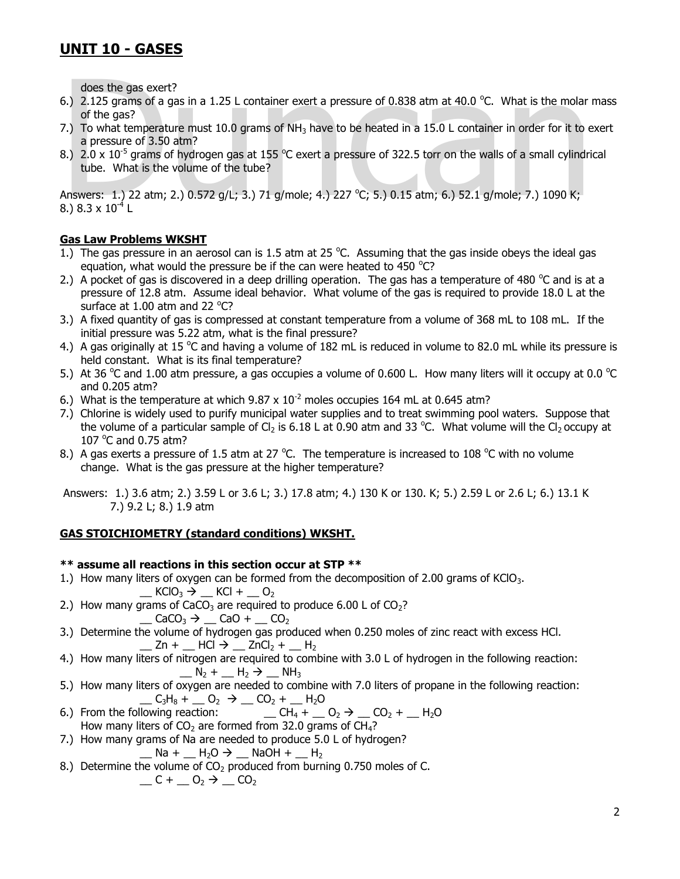- 6.) 2.125 grams of a gas in a 1.25 L container exert a pressure of 0.838 atm at 40.0 °C. What is the molar mass of the gas?
- 7.) To what temperature must 10.0 grams of NH<sub>3</sub> have to be heated in a 15.0 L container in order for it to exert a pressure of 3.50 atm?
- 8.) 2.0 x 10<sup>-5</sup> grams of hydrogen gas at 155 °C exert a pressure of 322.5 torr on the walls of a small cylindrical tube. What is the volume of the tube?

does the gas exert?<br>
6.) 2.125 grams of a gas in a 1.25 L container exert a pressure of 0.838 atm at 40.0 °C. What is the molar in<br>
of the gas?<br>
7.) To what temperature must 10.0 grams of NH<sub>3</sub> have to be heated in a 15.0 Answers: 1.) 22 atm; 2.) 0.572 g/L; 3.) 71 g/mole; 4.) 227 °C; 5.) 0.15 atm; 6.) 52.1 g/mole; 7.) 1090 K; 8.) 8.3 x  $10^{-4}$  L

## **Gas Law Problems WKSHT**

- 1.) The gas pressure in an aerosol can is 1.5 atm at 25  $^{\circ}$ C. Assuming that the gas inside obeys the ideal gas equation, what would the pressure be if the can were heated to 450  $^{\circ}$ C?
- 2.) A pocket of gas is discovered in a deep drilling operation. The gas has a temperature of 480  $^{\circ}$ C and is at a pressure of 12.8 atm. Assume ideal behavior. What volume of the gas is required to provide 18.0 L at the surface at  $1.00$  atm and 22 °C?
- 3.) A fixed quantity of gas is compressed at constant temperature from a volume of 368 mL to 108 mL. If the initial pressure was 5.22 atm, what is the final pressure?
- 4.) A gas originally at 15 °C and having a volume of 182 mL is reduced in volume to 82.0 mL while its pressure is held constant. What is its final temperature?
- 5.) At 36 °C and 1.00 atm pressure, a gas occupies a volume of 0.600 L. How many liters will it occupy at 0.0 °C and 0.205 atm?
- 6.) What is the temperature at which  $9.87 \times 10^{-2}$  moles occupies 164 mL at 0.645 atm?
- 7.) Chlorine is widely used to purify municipal water supplies and to treat swimming pool waters. Suppose that the volume of a particular sample of Cl<sub>2</sub> is 6.18 L at 0.90 atm and 33 °C. What volume will the Cl<sub>2</sub> occupy at 107 $\degree$ C and 0.75 atm?
- 8.) A gas exerts a pressure of 1.5 atm at 27 °C. The temperature is increased to 108 °C with no volume change. What is the gas pressure at the higher temperature?

Answers: 1.) 3.6 atm; 2.) 3.59 L or 3.6 L; 3.) 17.8 atm; 4.) 130 K or 130. K; 5.) 2.59 L or 2.6 L; 6.) 13.1 K 7.) 9.2 L; 8.) 1.9 atm

## **GAS STOICHIOMETRY (standard conditions) WKSHT.**

## **\*\* assume all reactions in this section occur at STP \*\***

- 1.) How many liters of oxygen can be formed from the decomposition of 2.00 grams of KClO<sub>3</sub>.  $\underline{\hspace{1cm}}$  KClO<sub>3</sub>  $\rightarrow$   $\underline{\hspace{1cm}}$  KCl +  $\underline{\hspace{1cm}}$  O<sub>2</sub>
- 2.) How many grams of CaCO<sub>3</sub> are required to produce 6.00 L of  $CO<sub>2</sub>$ ?

$$
\_\text{CaCO}_3 \rightarrow \_\text{CaO} + \_\text{CO}_2
$$

- 3.) Determine the volume of hydrogen gas produced when 0.250 moles of zinc react with excess HCl.  $\_$  Zn +  $\_$  HCl  $\rightarrow$   $\_$  ZnCl<sub>2</sub> +  $\_$  H<sub>2</sub>
- 4.) How many liters of nitrogen are required to combine with 3.0 L of hydrogen in the following reaction:  $N_2 + N_3 + N_4$
- 5.) How many liters of oxygen are needed to combine with 7.0 liters of propane in the following reaction:  $C_3H_8 + C_2 \rightarrow C_2 + H_2O$
- 6.) From the following reaction:  $\qquad \qquad \qquad \_ CH_4 + \_ O_2 \rightarrow \_ CO_2 + \_ H_2O$ How many liters of  $CO<sub>2</sub>$  are formed from 32.0 grams of CH<sub>4</sub>?
- 7.) How many grams of Na are needed to produce 5.0 L of hydrogen?

 $\_$  Na +  $\_$  H<sub>2</sub>O  $\rightarrow$   $\_$  NaOH +  $\_$  H<sub>2</sub>

8.) Determine the volume of  $CO<sub>2</sub>$  produced from burning 0.750 moles of C.  $\__$  C

$$
C + 0_2 \rightarrow 0_2
$$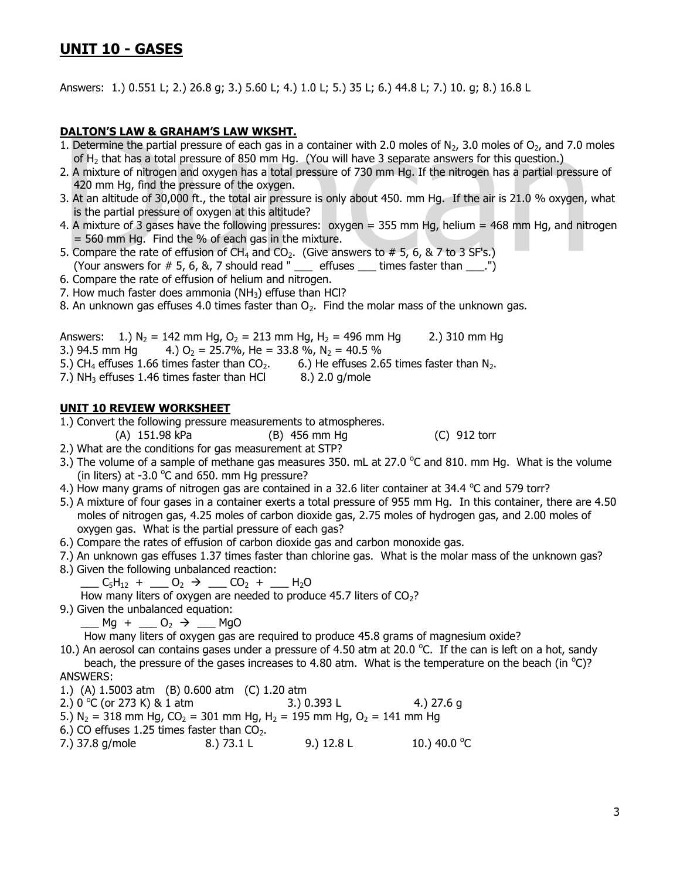Answers: 1.) 0.551 L; 2.) 26.8 g; 3.) 5.60 L; 4.) 1.0 L; 5.) 35 L; 6.) 44.8 L; 7.) 10. g; 8.) 16.8 L

#### **DALTON'S LAW & GRAHAM'S LAW WKSHT.**

- 1. Determine the partial pressure of each gas in a container with 2.0 moles of  $N_2$ , 3.0 moles of  $O_2$ , and 7.0 moles of H<sub>2</sub> that has a total pressure of 850 mm Hg. (You will have 3 separate answers for this question.)
- 2. A mixture of nitrogen and oxygen has a total pressure of 730 mm Hg. If the nitrogen has a partial pressure of 420 mm Hg, find the pressure of the oxygen.
- **DALTON'S LAW & GRAHAM'S LAW WKSHT.**<br>
1. Determine the partial pressure of each gas in a container with 2.0 moles of N<sub>2</sub>, 3.0 moles of O<sub>2</sub>, and 7.0 m<br>
of H<sub>2</sub> that has a total pressure of 850 mm Hg. (You will have 3 sep 3. At an altitude of 30,000 ft., the total air pressure is only about 450. mm Hg. If the air is 21.0 % oxygen, what is the partial pressure of oxygen at this altitude?
- 4. A mixture of 3 gases have the following pressures: oxygen = 355 mm Hg, helium = 468 mm Hg, and nitrogen  $=$  560 mm Hg. Find the % of each gas in the mixture.
- 5. Compare the rate of effusion of CH<sub>4</sub> and CO<sub>2</sub>. (Give answers to # 5, 6, & 7 to 3 SF's.) (Your answers for  $# 5, 6, 8, 7$  should read "  $\equiv$  effuses  $\equiv$  times faster than  $\equiv$ .")
- 6. Compare the rate of effusion of helium and nitrogen.
- 7. How much faster does ammonia  $(NH<sub>3</sub>)$  effuse than HCl?
- 8. An unknown gas effuses 4.0 times faster than  $O<sub>2</sub>$ . Find the molar mass of the unknown gas.

Answers: 1.) N<sub>2</sub> = 142 mm Hg, O<sub>2</sub> = 213 mm Hg, H<sub>2</sub> = 496 mm Hg 2.) 310 mm Hg

- 3.) 94.5 mm Hg 4.)  $O_2 = 25.7\%$ , He = 33.8 %, N<sub>2</sub> = 40.5 %
- 5.) CH<sub>4</sub> effuses 1.66 times faster than  $CO<sub>2</sub>$ . 6.) He effuses 2.65 times faster than  $N<sub>2</sub>$ .
- 7.)  $NH<sub>3</sub>$  effuses 1.46 times faster than HCl  $8.$ ) 2.0 g/mole

#### **UNIT 10 REVIEW WORKSHEET**

1.) Convert the following pressure measurements to atmospheres.

- (A) 151.98 kPa (B) 456 mm Hg (C) 912 torr
- 2.) What are the conditions for gas measurement at STP?
- 3.) The volume of a sample of methane gas measures 350. mL at 27.0  $^{\circ}$ C and 810. mm Hg. What is the volume (in liters) at -3.0  $^{\circ}$ C and 650. mm Hg pressure?
- 4.) How many grams of nitrogen gas are contained in a 32.6 liter container at 34.4  $\degree$ C and 579 torr?
- 5.) A mixture of four gases in a container exerts a total pressure of 955 mm Hg. In this container, there are 4.50 moles of nitrogen gas, 4.25 moles of carbon dioxide gas, 2.75 moles of hydrogen gas, and 2.00 moles of oxygen gas. What is the partial pressure of each gas?
- 6.) Compare the rates of effusion of carbon dioxide gas and carbon monoxide gas.
- 7.) An unknown gas effuses 1.37 times faster than chlorine gas. What is the molar mass of the unknown gas?
- 8.) Given the following unbalanced reaction:

 $C_5H_{12} + \_ 0_2 \rightarrow \_ 0_2 + \_ H_2O$ 

How many liters of oxygen are needed to produce 45.7 liters of  $CO<sub>2</sub>$ ?

9.) Given the unbalanced equation:

 $-Mg + \underline{\hspace{1cm}} 0_2 \rightarrow \underline{\hspace{1cm}} MgO$ 

How many liters of oxygen gas are required to produce 45.8 grams of magnesium oxide?

10.) An aerosol can contains gases under a pressure of 4.50 atm at 20.0 °C. If the can is left on a hot, sandy beach, the pressure of the gases increases to 4.80 atm. What is the temperature on the beach (in  $^{\circ}$ C)? ANSWERS:

1.) (A) 1.5003 atm (B) 0.600 atm (C) 1.20 atm

- 2.)  $0^{\circ}$ C (or 273 K) & 1 atm 3.) 0.393 L 4.) 27.6 g
- 5.) N<sub>2</sub> = 318 mm Hg, CO<sub>2</sub> = 301 mm Hg, H<sub>2</sub> = 195 mm Hg, O<sub>2</sub> = 141 mm Hg
- 6.) CO effuses 1.25 times faster than  $CO<sub>2</sub>$ .
- 7.) 37.8 g/mole 8.) 73.1 L 9.) 12.8 L 10.) 40.0  $^{\circ}$ C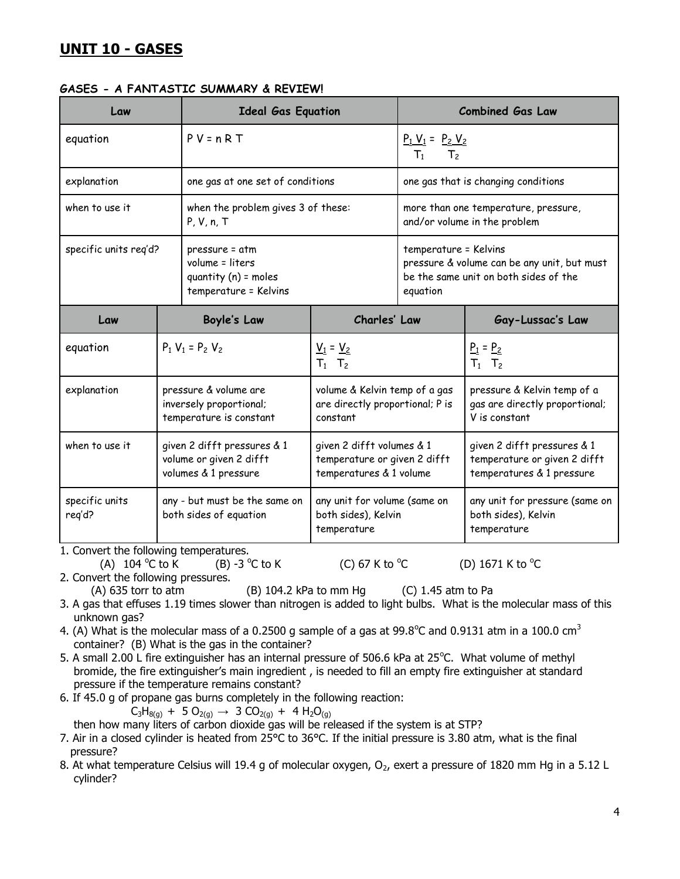#### **GASES - A FANTASTIC SUMMARY & REVIEW!**

| Law                      |                                                                                | <b>Ideal Gas Equation</b>                                                            |                                                                                      | <b>Combined Gas Law</b>                                                                                                   |                                                                                          |
|--------------------------|--------------------------------------------------------------------------------|--------------------------------------------------------------------------------------|--------------------------------------------------------------------------------------|---------------------------------------------------------------------------------------------------------------------------|------------------------------------------------------------------------------------------|
| equation                 |                                                                                | $P V = n R T$                                                                        |                                                                                      | $P_1 V_1 = P_2 V_2$<br>T <sub>2</sub><br>$T_1$                                                                            |                                                                                          |
| explanation              |                                                                                | one gas at one set of conditions                                                     |                                                                                      | one gas that is changing conditions                                                                                       |                                                                                          |
| when to use it           |                                                                                | when the problem gives 3 of these:<br>P, V, n, T                                     |                                                                                      | more than one temperature, pressure,<br>and/or volume in the problem                                                      |                                                                                          |
| specific units reg'd?    |                                                                                | pressure = atm<br>volume = liters<br>quantity $(n)$ = moles<br>temperature = Kelvins |                                                                                      | temperature = Kelvins<br>pressure & volume can be any unit, but must<br>be the same unit on both sides of the<br>equation |                                                                                          |
| Law                      |                                                                                | Charles' Law<br><b>Boyle's Law</b>                                                   |                                                                                      |                                                                                                                           | Gay-Lussac's Law                                                                         |
| equation                 |                                                                                | $P_1 V_1 = P_2 V_2$                                                                  | $V_1 = V_2$<br>$T_1$ $T_2$                                                           |                                                                                                                           | $P_1 = P_2$<br>$T_1$ $T_2$                                                               |
| explanation              | pressure & volume are<br>inversely proportional;<br>temperature is constant    |                                                                                      | volume & Kelvin temp of a gas<br>are directly proportional; P is<br>constant         |                                                                                                                           | pressure & Kelvin temp of a<br>gas are directly proportional;<br>V is constant           |
| when to use it           | given 2 difft pressures & 1<br>volume or given 2 difft<br>volumes & 1 pressure |                                                                                      | given 2 difft volumes & 1<br>temperature or given 2 difft<br>temperatures & 1 volume |                                                                                                                           | given 2 difft pressures & 1<br>temperature or given 2 difft<br>temperatures & 1 pressure |
| specific units<br>reg'd? | any - but must be the same on<br>both sides of equation                        |                                                                                      | any unit for volume (same on<br>both sides), Kelvin<br>temperature                   |                                                                                                                           | any unit for pressure (same on<br>both sides), Kelvin<br>temperature                     |

1. Convert the following temperatures.

(A)  $104^{\circ}$ C to K C to K  $(B)$  -3  $^{\circ}$ C to K  $(C)$  67 K to  $^{\circ}$ 

C (D)  $1671$  K to  $^{\circ}$ C

2. Convert the following pressures.

(A) 635 torr to atm (B) 104.2 kPa to mm Hg (C) 1.45 atm to Pa

- 3. A gas that effuses 1.19 times slower than nitrogen is added to light bulbs. What is the molecular mass of this unknown gas?
- 4. (A) What is the molecular mass of a 0.2500 g sample of a gas at 99.8°C and 0.9131 atm in a 100.0 cm<sup>3</sup> container? (B) What is the gas in the container?
- 5. A small 2.00 L fire extinguisher has an internal pressure of 506.6 kPa at 25°C. What volume of methyl bromide, the fire extinguisher's main ingredient , is needed to fill an empty fire extinguisher at standard pressure if the temperature remains constant?
- 6. If 45.0 g of propane gas burns completely in the following reaction:

 $C_3H_{8(g)} + 5 O_{2(g)} \rightarrow 3 CO_{2(g)} + 4 H_2O_{(g)}$ 

then how many liters of carbon dioxide gas will be released if the system is at STP?

- 7. Air in a closed cylinder is heated from 25°C to 36°C. If the initial pressure is 3.80 atm, what is the final pressure?
- 8. At what temperature Celsius will 19.4 g of molecular oxygen,  $O_2$ , exert a pressure of 1820 mm Hg in a 5.12 L cylinder?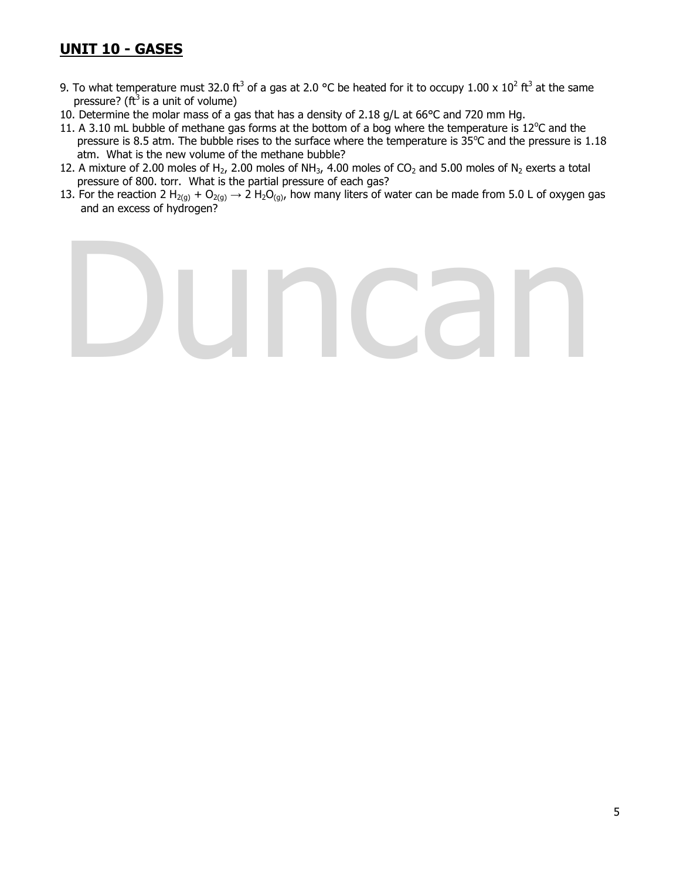- 9. To what temperature must 32.0 ft<sup>3</sup> of a gas at 2.0 °C be heated for it to occupy 1.00 x 10<sup>2</sup> ft<sup>3</sup> at the same pressure? ( $ft^3$  is a unit of volume)
- 10. Determine the molar mass of a gas that has a density of 2.18 g/L at 66°C and 720 mm Hg.
- 11. A 3.10 mL bubble of methane gas forms at the bottom of a bog where the temperature is  $12^{\circ}$ C and the pressure is 8.5 atm. The bubble rises to the surface where the temperature is  $35^{\circ}$ C and the pressure is 1.18 atm. What is the new volume of the methane bubble?
- 12. A mixture of 2.00 moles of H<sub>2</sub>, 2.00 moles of NH<sub>3</sub>, 4.00 moles of CO<sub>2</sub> and 5.00 moles of N<sub>2</sub> exerts a total pressure of 800. torr. What is the partial pressure of each gas?
- 13. For the reaction 2 H<sub>2(g)</sub> + O<sub>2(g)</sub>  $\rightarrow$  2 H<sub>2</sub>O<sub>(g)</sub>, how many liters of water can be made from 5.0 L of oxygen gas and an excess of hydrogen?

# Duncan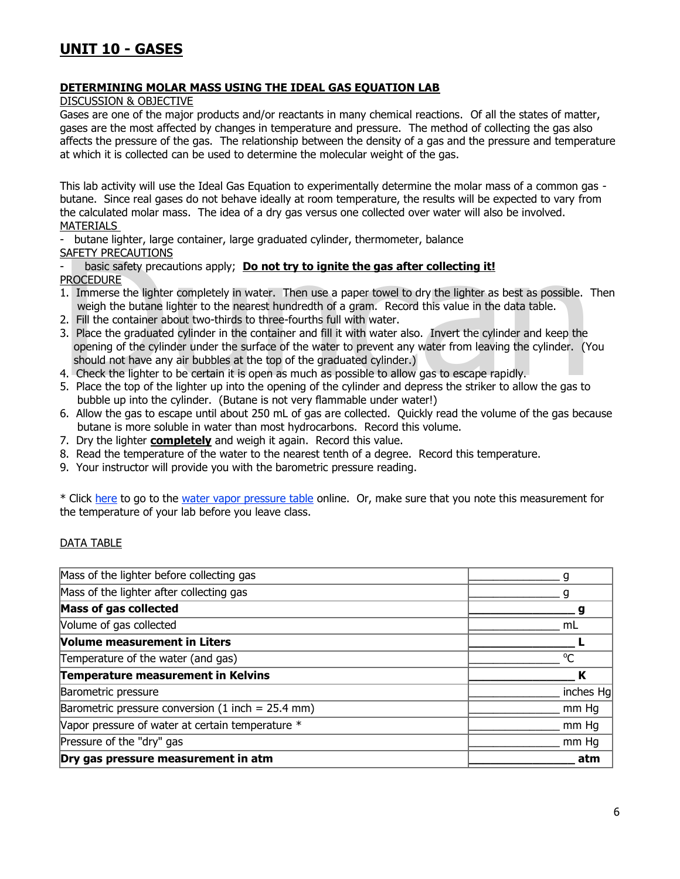## **DETERMINING MOLAR MASS USING THE IDEAL GAS EQUATION LAB**

DISCUSSION & OBJECTIVE

Gases are one of the major products and/or reactants in many chemical reactions. Of all the states of matter, gases are the most affected by changes in temperature and pressure. The method of collecting the gas also affects the pressure of the gas. The relationship between the density of a gas and the pressure and temperature at which it is collected can be used to determine the molecular weight of the gas.

This lab activity will use the Ideal Gas Equation to experimentally determine the molar mass of a common gas butane. Since real gases do not behave ideally at room temperature, the results will be expected to vary from the calculated molar mass. The idea of a dry gas versus one collected over water will also be involved. MATERIALS

- butane lighter, large container, large graduated cylinder, thermometer, balance

SAFETY PRECAUTIONS

basic safety precautions apply; **Do not try to ignite the gas after collecting it!** PROCEDURE

- 1. Immerse the lighter completely in water. Then use a paper towel to dry the lighter as best as possible. Then weigh the butane lighter to the nearest hundredth of a gram. Record this value in the data table.
- 2. Fill the container about two-thirds to three-fourths full with water.
- SAFETY PRECAUTIONS<br>
 basic safety precautions apply; **Do not try to ignite the gas after collecting it!**<br>
PROCEDURE<br>
1. Immerse the lighter completely in water. Then use a paper towel to dry the lighter as best as possib 3. Place the graduated cylinder in the container and fill it with water also. Invert the cylinder and keep the opening of the cylinder under the surface of the water to prevent any water from leaving the cylinder. (You should not have any air bubbles at the top of the graduated cylinder.)
- 4. Check the lighter to be certain it is open as much as possible to allow gas to escape rapidly.
- 5. Place the top of the lighter up into the opening of the cylinder and depress the striker to allow the gas to bubble up into the cylinder. (Butane is not very flammable under water!)
- 6. Allow the gas to escape until about 250 mL of gas are collected. Quickly read the volume of the gas because butane is more soluble in water than most hydrocarbons. Record this volume.
- 7. Dry the lighter **completely** and weigh it again. Record this value.
- 8. Read the temperature of the water to the nearest tenth of a degree. Record this temperature.
- 9. Your instructor will provide you with the barometric pressure reading.

\* Click here to go to the water vapor pressure table online. Or, make sure that you note this measurement for the temperature of your lab before you leave class.

## DATA TABLE

| Dry gas pressure measurement in atm                 | atm       |
|-----------------------------------------------------|-----------|
| Pressure of the "dry" gas                           | mm Hq     |
| Vapor pressure of water at certain temperature *    | mm Hq     |
| Barometric pressure conversion (1 inch = $25.4$ mm) | mm Hq     |
| Barometric pressure                                 | inches Hg |
| Temperature measurement in Kelvins                  | К         |
| Temperature of the water (and gas)                  | $\Omega$  |
| <b>Volume measurement in Liters</b>                 |           |
| Volume of gas collected                             | mL        |
| Mass of gas collected                               |           |
| Mass of the lighter after collecting gas            |           |
| Mass of the lighter before collecting gas           |           |